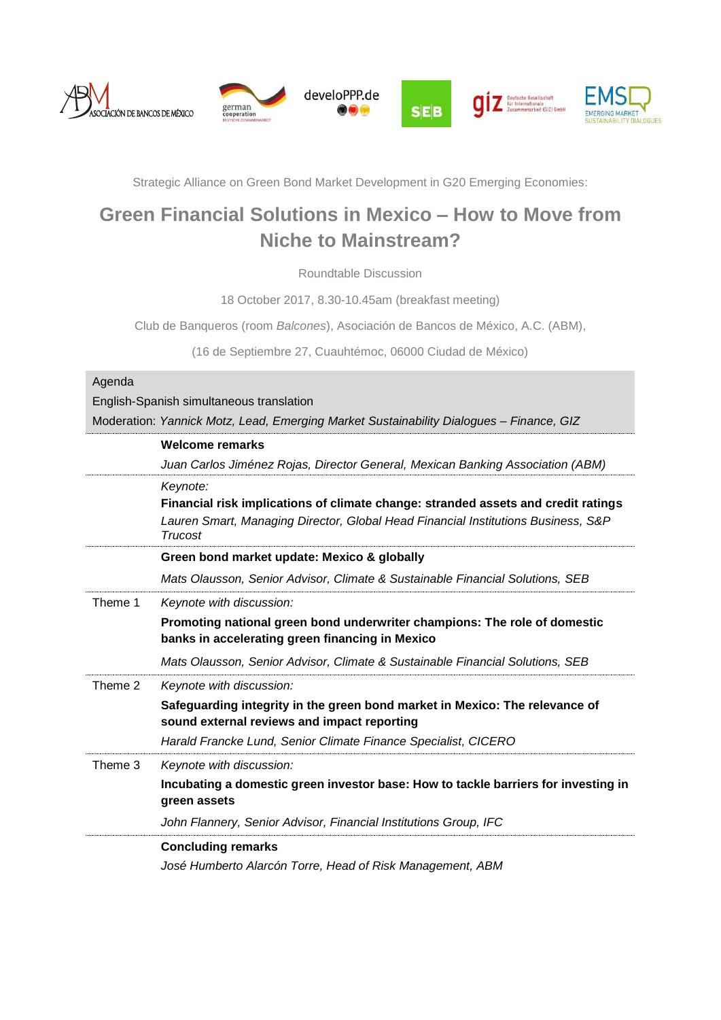

Strategic Alliance on Green Bond Market Development in G20 Emerging Economies:

# **Green Financial Solutions in Mexico – How to Move from Niche to Mainstream?**

Roundtable Discussion

18 October 2017, 8.30-10.45am (breakfast meeting)

Club de Banqueros (room *Balcones*), Asociación de Bancos de México, A.C. (ABM),

(16 de Septiembre 27, Cuauhtémoc, 06000 Ciudad de México)

## Agenda

English-Spanish simultaneous translation

Moderation: *Yannick Motz, Lead, Emerging Market Sustainability Dialogues – Finance, GIZ*

|         | <b>Welcome remarks</b>                                                                                                                                                                                                   |
|---------|--------------------------------------------------------------------------------------------------------------------------------------------------------------------------------------------------------------------------|
|         | Juan Carlos Jiménez Rojas, Director General, Mexican Banking Association (ABM)                                                                                                                                           |
|         | Keynote:<br>Financial risk implications of climate change: stranded assets and credit ratings<br>Lauren Smart, Managing Director, Global Head Financial Institutions Business, S&P<br>Trucost                            |
|         | Green bond market update: Mexico & globally                                                                                                                                                                              |
|         | Mats Olausson, Senior Advisor, Climate & Sustainable Financial Solutions, SEB                                                                                                                                            |
| Theme 1 | Keynote with discussion:<br>Promoting national green bond underwriter champions: The role of domestic<br>banks in accelerating green financing in Mexico                                                                 |
|         | Mats Olausson, Senior Advisor, Climate & Sustainable Financial Solutions, SEB                                                                                                                                            |
| Theme 2 | Keynote with discussion:<br>Safeguarding integrity in the green bond market in Mexico: The relevance of<br>sound external reviews and impact reporting<br>Harald Francke Lund, Senior Climate Finance Specialist, CICERO |
| Theme 3 | Keynote with discussion:<br>Incubating a domestic green investor base: How to tackle barriers for investing in<br>green assets                                                                                           |
|         | John Flannery, Senior Advisor, Financial Institutions Group, IFC                                                                                                                                                         |
|         | <b>Concluding remarks</b><br>José Humberto Alarcón Torre, Head of Risk Management, ABM                                                                                                                                   |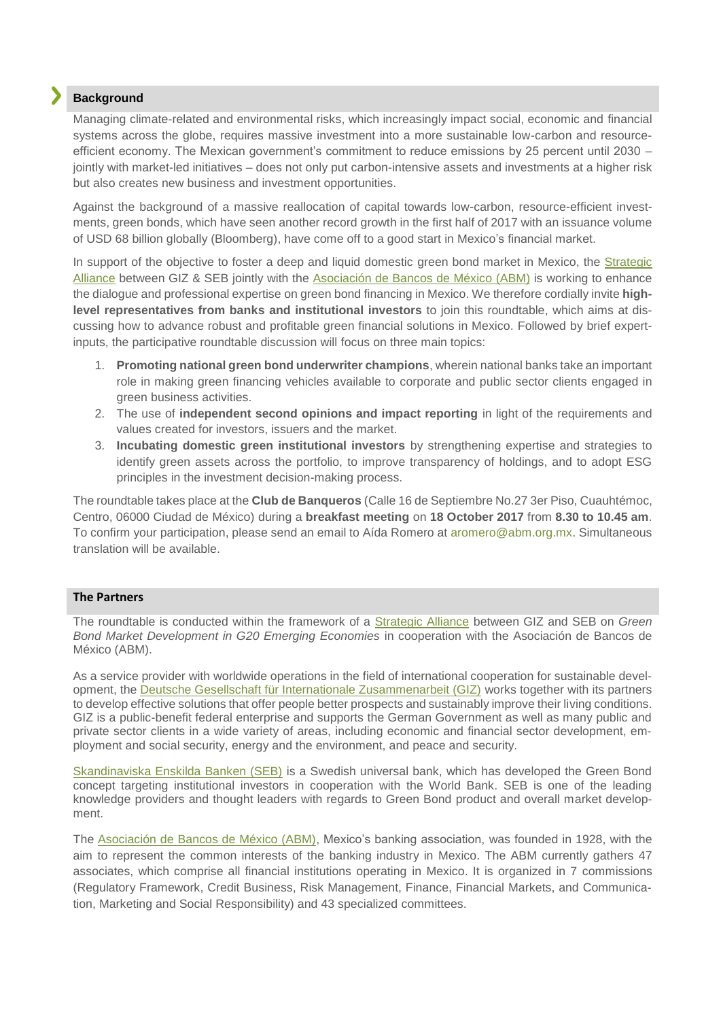## **Background**

Managing climate-related and environmental risks, which increasingly impact social, economic and financial systems across the globe, requires massive investment into a more sustainable low-carbon and resourceefficient economy. The Mexican government's commitment to reduce emissions by 25 percent until 2030 jointly with market-led initiatives – does not only put carbon-intensive assets and investments at a higher risk but also creates new business and investment opportunities.

Against the background of a massive reallocation of capital towards low-carbon, resource-efficient investments, green bonds, which have seen another record growth in the first half of 2017 with an issuance volume of USD 68 billion globally (Bloomberg), have come off to a good start in Mexico's financial market.

In support of the objective to foster a deep and liquid domestic green bond market in Mexico, the [Strategic](http://www.emergingmarketsdialogue.org/dms/giz-emd/green-bonds/Fact_Sheet_-_GIZ_SEB_Strategic_Alliance_-_Green_Bond_Market_Development_in_G20_EM.pdf?z=1504094373175)  [Alliance](http://www.emergingmarketsdialogue.org/dms/giz-emd/green-bonds/Fact_Sheet_-_GIZ_SEB_Strategic_Alliance_-_Green_Bond_Market_Development_in_G20_EM.pdf?z=1504094373175) between GIZ & SEB jointly with the [Asociación de Bancos de México \(ABM\)](https://www.abm.org.mx/) is working to enhance the dialogue and professional expertise on green bond financing in Mexico. We therefore cordially invite **highlevel representatives from banks and institutional investors** to join this roundtable, which aims at discussing how to advance robust and profitable green financial solutions in Mexico. Followed by brief expertinputs, the participative roundtable discussion will focus on three main topics:

- 1. **Promoting national green bond underwriter champions**, wherein national banks take an important role in making green financing vehicles available to corporate and public sector clients engaged in green business activities.
- 2. The use of **independent second opinions and impact reporting** in light of the requirements and values created for investors, issuers and the market.
- 3. **Incubating domestic green institutional investors** by strengthening expertise and strategies to identify green assets across the portfolio, to improve transparency of holdings, and to adopt ESG principles in the investment decision-making process.

The roundtable takes place at the **Club de Banqueros** (Calle 16 de Septiembre No.27 3er Piso, Cuauhtémoc, Centro, 06000 Ciudad de México) during a **breakfast meeting** on **18 October 2017** from **8.30 to 10.45 am**. To confirm your participation, please send an email to Aída Romero at aromero@abm.org.mx. Simultaneous translation will be available.

### **The Partners**

The roundtable is conducted within the framework of a [Strategic Alliance](http://www.emergingmarketsdialogue.org/dms/giz-emd/green-bonds/Fact_Sheet_-_GIZ_SEB_Strategic_Alliance_-_Green_Bond_Market_Development_in_G20_EM.pdf?z=1504094373175) between GIZ and SEB on *Green Bond Market Development in G20 Emerging Economies* in cooperation with the Asociación de Bancos de México (ABM).

As a service provider with worldwide operations in the field of international cooperation for sustainable development, the [Deutsche Gesellschaft für Internationale Zusammenarbeit \(GIZ\)](https://www.giz.de/de/html/index.html) works together with its partners to develop effective solutions that offer people better prospects and sustainably improve their living conditions. GIZ is a public-benefit federal enterprise and supports the German Government as well as many public and private sector clients in a wide variety of areas, including economic and financial sector development, employment and social security, energy and the environment, and peace and security.

[Skandinaviska Enskilda Banken \(SEB\)](https://sebgroup.com/large-corporates-and-institutions/our-services/markets/fixed-income/green-bonds) is a Swedish universal bank, which has developed the Green Bond concept targeting institutional investors in cooperation with the World Bank. SEB is one of the leading knowledge providers and thought leaders with regards to Green Bond product and overall market development.

The [Asociación de Bancos de México \(ABM\),](https://www.abm.org.mx/) Mexico's banking association, was founded in 1928, with the aim to represent the common interests of the banking industry in Mexico. The ABM currently gathers 47 associates, which comprise all financial institutions operating in Mexico. It is organized in 7 commissions (Regulatory Framework, Credit Business, Risk Management, Finance, Financial Markets, and Communication, Marketing and Social Responsibility) and 43 specialized committees.